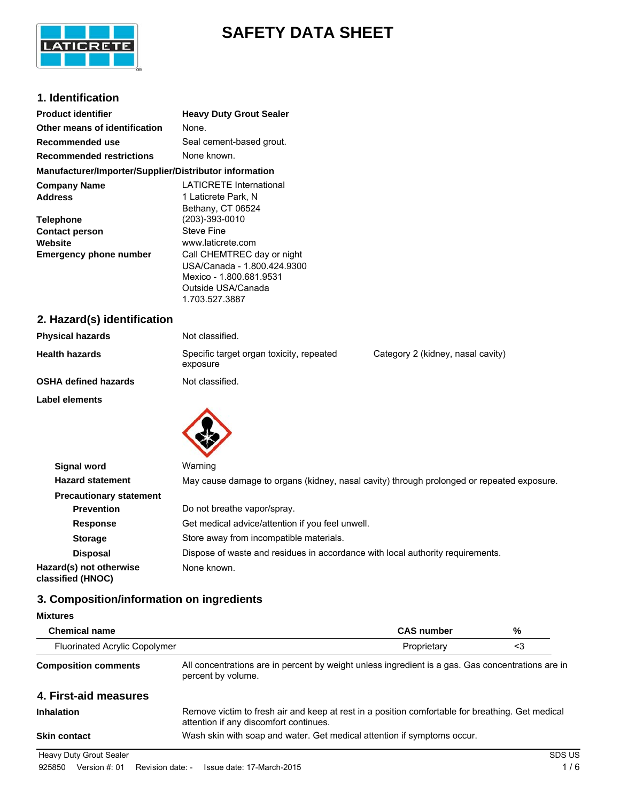

# **SAFETY DATA SHEET**

## **1. Identification**

| <b>Product identifier</b>                                                             | <b>Heavy Duty Grout Sealer</b>                                                                                                                                 |
|---------------------------------------------------------------------------------------|----------------------------------------------------------------------------------------------------------------------------------------------------------------|
| Other means of identification                                                         | None.                                                                                                                                                          |
| Recommended use                                                                       | Seal cement-based grout.                                                                                                                                       |
| <b>Recommended restrictions</b>                                                       | None known.                                                                                                                                                    |
| Manufacturer/Importer/Supplier/Distributor information                                |                                                                                                                                                                |
| <b>Company Name</b><br><b>Address</b>                                                 | <b>LATICRETE International</b><br>1 Laticrete Park, N                                                                                                          |
| <b>Telephone</b><br><b>Contact person</b><br>Website<br><b>Emergency phone number</b> | Bethany, CT 06524<br>(203)-393-0010<br>Steve Fine<br>www.laticrete.com<br>Call CHEMTREC day or night<br>USA/Canada - 1.800.424.9300<br>Mexico - 1.800.681.9531 |
|                                                                                       | Outside USA/Canada<br>1.703.527.3887                                                                                                                           |
| 2. Hazard(s) identification                                                           |                                                                                                                                                                |
| <b>Physical hazards</b>                                                               | Not classified.                                                                                                                                                |

| Physical nazards            | inot classified.                                     |                                   |
|-----------------------------|------------------------------------------------------|-----------------------------------|
| <b>Health hazards</b>       | Specific target organ toxicity, repeated<br>exposure | Category 2 (kidney, nasal cavity) |
| <b>OSHA defined hazards</b> | Not classified.                                      |                                   |
| <b>Label elements</b>       |                                                      |                                   |
|                             |                                                      |                                   |



| <b>Signal word</b>                           | Warning                                                                                   |
|----------------------------------------------|-------------------------------------------------------------------------------------------|
| <b>Hazard statement</b>                      | May cause damage to organs (kidney, nasal cavity) through prolonged or repeated exposure. |
| <b>Precautionary statement</b>               |                                                                                           |
| <b>Prevention</b>                            | Do not breathe vapor/spray.                                                               |
| <b>Response</b>                              | Get medical advice/attention if you feel unwell.                                          |
| <b>Storage</b>                               | Store away from incompatible materials.                                                   |
| <b>Disposal</b>                              | Dispose of waste and residues in accordance with local authority requirements.            |
| Hazard(s) not otherwise<br>classified (HNOC) | None known.                                                                               |

# **3. Composition/information on ingredients**

## **Mixtures**

| <b>Chemical name</b>           |                                                                                                                                            | <b>CAS number</b> | %      |
|--------------------------------|--------------------------------------------------------------------------------------------------------------------------------------------|-------------------|--------|
| Fluorinated Acrylic Copolymer  |                                                                                                                                            | Proprietary       | <3     |
| <b>Composition comments</b>    | All concentrations are in percent by weight unless ingredient is a gas. Gas concentrations are in<br>percent by volume.                    |                   |        |
| 4. First-aid measures          |                                                                                                                                            |                   |        |
| <b>Inhalation</b>              | Remove victim to fresh air and keep at rest in a position comfortable for breathing. Get medical<br>attention if any discomfort continues. |                   |        |
| <b>Skin contact</b>            | Wash skin with soap and water. Get medical attention if symptoms occur.                                                                    |                   |        |
| <b>Heavy Duty Grout Sealer</b> |                                                                                                                                            |                   | SDS US |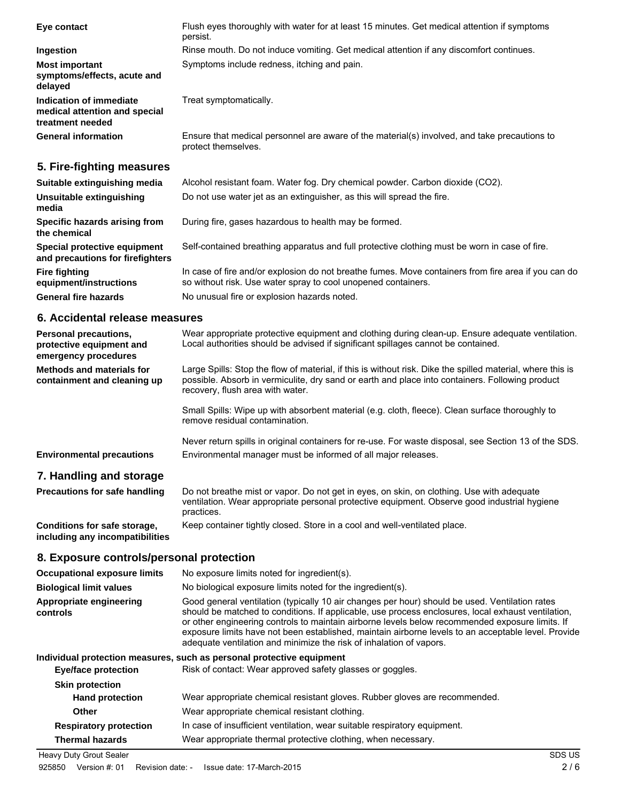| Eye contact                                                                  | Flush eyes thoroughly with water for at least 15 minutes. Get medical attention if symptoms<br>persist.             |
|------------------------------------------------------------------------------|---------------------------------------------------------------------------------------------------------------------|
| Ingestion                                                                    | Rinse mouth. Do not induce vomiting. Get medical attention if any discomfort continues.                             |
| <b>Most important</b><br>symptoms/effects, acute and<br>delayed              | Symptoms include redness, itching and pain.                                                                         |
| Indication of immediate<br>medical attention and special<br>treatment needed | Treat symptomatically.                                                                                              |
| <b>General information</b>                                                   | Ensure that medical personnel are aware of the material(s) involved, and take precautions to<br>protect themselves. |
| 5. Fire-fighting measures                                                    |                                                                                                                     |
| Suitable extinguishing media                                                 | Alcohol resistant foam. Water fog. Dry chemical powder. Carbon dioxide (CO2).                                       |

| Unsuitable extinguishing<br>media                                | Do not use water jet as an extinguisher, as this will spread the fire.                                                                                               |
|------------------------------------------------------------------|----------------------------------------------------------------------------------------------------------------------------------------------------------------------|
| Specific hazards arising from<br>the chemical                    | During fire, gases hazardous to health may be formed.                                                                                                                |
| Special protective equipment<br>and precautions for firefighters | Self-contained breathing apparatus and full protective clothing must be worn in case of fire.                                                                        |
| <b>Fire fighting</b><br>equipment/instructions                   | In case of fire and/or explosion do not breathe fumes. Move containers from fire area if you can do<br>so without risk. Use water spray to cool unopened containers. |
| <b>General fire hazards</b>                                      | No unusual fire or explosion hazards noted.                                                                                                                          |

# **6. Accidental release measures**

| <b>Personal precautions,</b><br>protective equipment and<br>emergency procedures | Wear appropriate protective equipment and clothing during clean-up. Ensure adequate ventilation.<br>Local authorities should be advised if significant spillages cannot be contained.                                                             |
|----------------------------------------------------------------------------------|---------------------------------------------------------------------------------------------------------------------------------------------------------------------------------------------------------------------------------------------------|
| Methods and materials for<br>containment and cleaning up                         | Large Spills: Stop the flow of material, if this is without risk. Dike the spilled material, where this is<br>possible. Absorb in vermiculite, dry sand or earth and place into containers. Following product<br>recovery, flush area with water. |
|                                                                                  | Small Spills: Wipe up with absorbent material (e.g. cloth, fleece). Clean surface thoroughly to<br>remove residual contamination.                                                                                                                 |
| <b>Environmental precautions</b>                                                 | Never return spills in original containers for re-use. For waste disposal, see Section 13 of the SDS.<br>Environmental manager must be informed of all major releases.                                                                            |
| 7. Handling and storage                                                          |                                                                                                                                                                                                                                                   |
| <b>Precautions for safe handling</b>                                             | Do not breathe mist or vapor. Do not get in eyes, on skin, on clothing. Use with adequate<br>ventilation. Wear appropriate personal protective equipment. Observe good industrial hygiene<br>practices.                                           |
| Conditions for safe storage,<br>including any incompatibilities                  | Keep container tightly closed. Store in a cool and well-ventilated place.                                                                                                                                                                         |

# **8. Exposure controls/personal protection**

| <b>Occupational exposure limits</b> | No exposure limits noted for ingredient(s).                                                                                                                                                                                                                                                                                                                                                                                                                                           |
|-------------------------------------|---------------------------------------------------------------------------------------------------------------------------------------------------------------------------------------------------------------------------------------------------------------------------------------------------------------------------------------------------------------------------------------------------------------------------------------------------------------------------------------|
| <b>Biological limit values</b>      | No biological exposure limits noted for the ingredient(s).                                                                                                                                                                                                                                                                                                                                                                                                                            |
| Appropriate engineering<br>controls | Good general ventilation (typically 10 air changes per hour) should be used. Ventilation rates<br>should be matched to conditions. If applicable, use process enclosures, local exhaust ventilation,<br>or other engineering controls to maintain airborne levels below recommended exposure limits. If<br>exposure limits have not been established, maintain airborne levels to an acceptable level. Provide<br>adequate ventilation and minimize the risk of inhalation of vapors. |
|                                     | Individual protection measures, such as personal protective equipment                                                                                                                                                                                                                                                                                                                                                                                                                 |
| <b>Eye/face protection</b>          | Risk of contact: Wear approved safety glasses or goggles.                                                                                                                                                                                                                                                                                                                                                                                                                             |
| <b>Skin protection</b>              |                                                                                                                                                                                                                                                                                                                                                                                                                                                                                       |
| <b>Hand protection</b>              | Wear appropriate chemical resistant gloves. Rubber gloves are recommended.                                                                                                                                                                                                                                                                                                                                                                                                            |
| Other                               | Wear appropriate chemical resistant clothing.                                                                                                                                                                                                                                                                                                                                                                                                                                         |
| <b>Respiratory protection</b>       | In case of insufficient ventilation, wear suitable respiratory equipment.                                                                                                                                                                                                                                                                                                                                                                                                             |
| <b>Thermal hazards</b>              | Wear appropriate thermal protective clothing, when necessary.                                                                                                                                                                                                                                                                                                                                                                                                                         |
| Heavy Duty Grout Sealer             | SDS US                                                                                                                                                                                                                                                                                                                                                                                                                                                                                |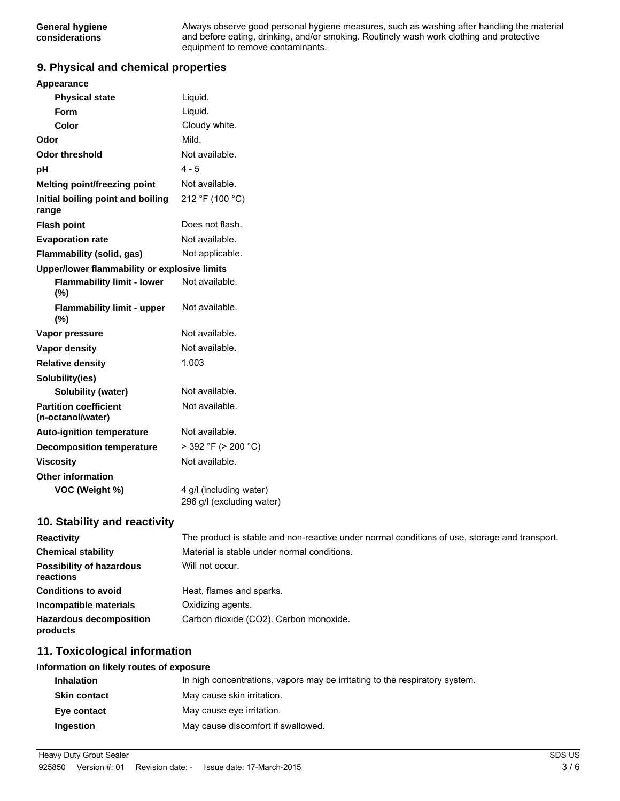Always observe good personal hygiene measures, such as washing after handling the material and before eating, drinking, and/or smoking. Routinely wash work clothing and protective equipment to remove contaminants.

#### **9. Physical and chemical properties**

| Appearance                                        |                                                                                               |
|---------------------------------------------------|-----------------------------------------------------------------------------------------------|
| <b>Physical state</b>                             | Liquid.                                                                                       |
| Form                                              | Liquid.                                                                                       |
| Color                                             | Cloudy white.                                                                                 |
| Odor                                              | Mild.                                                                                         |
| <b>Odor threshold</b>                             | Not available.                                                                                |
| pH                                                | $4 - 5$                                                                                       |
| Melting point/freezing point                      | Not available.                                                                                |
| Initial boiling point and boiling<br>range        | 212 °F (100 °C)                                                                               |
| <b>Flash point</b>                                | Does not flash.                                                                               |
| <b>Evaporation rate</b>                           | Not available.                                                                                |
| Flammability (solid, gas)                         | Not applicable.                                                                               |
| Upper/lower flammability or explosive limits      |                                                                                               |
| <b>Flammability limit - lower</b><br>(%)          | Not available.                                                                                |
| <b>Flammability limit - upper</b><br>(%)          | Not available.                                                                                |
| Vapor pressure                                    | Not available.                                                                                |
| <b>Vapor density</b>                              | Not available.                                                                                |
| <b>Relative density</b>                           | 1.003                                                                                         |
| Solubility(ies)                                   |                                                                                               |
| <b>Solubility (water)</b>                         | Not available.                                                                                |
| <b>Partition coefficient</b><br>(n-octanol/water) | Not available.                                                                                |
| <b>Auto-ignition temperature</b>                  | Not available.                                                                                |
| <b>Decomposition temperature</b>                  | $>$ 392 °F ( $>$ 200 °C)                                                                      |
| <b>Viscosity</b>                                  | Not available.                                                                                |
| <b>Other information</b>                          |                                                                                               |
| VOC (Weight %)                                    | 4 g/l (including water)<br>296 g/l (excluding water)                                          |
| 10. Stability and reactivity                      |                                                                                               |
| <b>Reactivity</b>                                 | The product is stable and non-reactive under normal conditions of use, storage and transport. |
|                                                   |                                                                                               |

| Reactivity                                   | The product is stable and non-reactive under normal conditions or use, storage and transport. |
|----------------------------------------------|-----------------------------------------------------------------------------------------------|
| <b>Chemical stability</b>                    | Material is stable under normal conditions.                                                   |
| <b>Possibility of hazardous</b><br>reactions | Will not occur.                                                                               |
| <b>Conditions to avoid</b>                   | Heat, flames and sparks.                                                                      |
| Incompatible materials                       | Oxidizing agents.                                                                             |
| <b>Hazardous decomposition</b><br>products   | Carbon dioxide (CO2). Carbon monoxide.                                                        |

## **11. Toxicological information**

#### **Information on likely routes of exposure**

| <b>Inhalation</b>   | In high concentrations, vapors may be irritating to the respiratory system. |
|---------------------|-----------------------------------------------------------------------------|
| <b>Skin contact</b> | May cause skin irritation.                                                  |
| Eve contact         | May cause eye irritation.                                                   |
| Ingestion           | May cause discomfort if swallowed.                                          |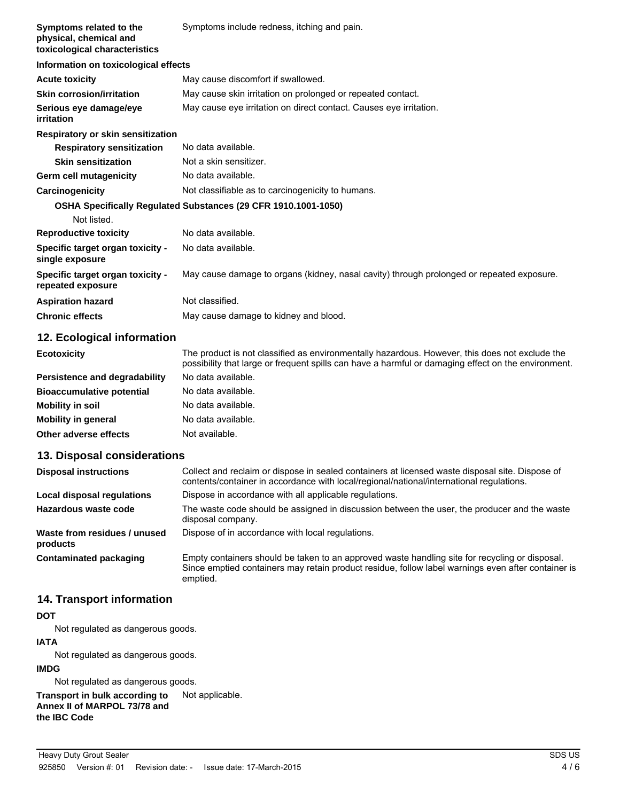| Symptoms related to the<br>physical, chemical and<br>toxicological characteristics | Symptoms include redness, itching and pain.                                               |
|------------------------------------------------------------------------------------|-------------------------------------------------------------------------------------------|
| Information on toxicological effects                                               |                                                                                           |
| <b>Acute toxicity</b>                                                              | May cause discomfort if swallowed.                                                        |
| <b>Skin corrosion/irritation</b>                                                   | May cause skin irritation on prolonged or repeated contact.                               |
| Serious eye damage/eye<br>irritation                                               | May cause eye irritation on direct contact. Causes eye irritation.                        |
| Respiratory or skin sensitization                                                  |                                                                                           |
| <b>Respiratory sensitization</b>                                                   | No data available.                                                                        |
| <b>Skin sensitization</b>                                                          | Not a skin sensitizer.                                                                    |
| Germ cell mutagenicity                                                             | No data available.                                                                        |
| Carcinogenicity                                                                    | Not classifiable as to carcinogenicity to humans.                                         |
| Not listed.                                                                        | OSHA Specifically Regulated Substances (29 CFR 1910.1001-1050)                            |
| <b>Reproductive toxicity</b>                                                       | No data available.                                                                        |
| Specific target organ toxicity -<br>single exposure                                | No data available.                                                                        |
| Specific target organ toxicity -<br>repeated exposure                              | May cause damage to organs (kidney, nasal cavity) through prolonged or repeated exposure. |
| <b>Aspiration hazard</b>                                                           | Not classified.                                                                           |
| <b>Chronic effects</b>                                                             | May cause damage to kidney and blood.                                                     |
| .                                                                                  |                                                                                           |

## **12. Ecological information**

| <b>Ecotoxicity</b>               | The product is not classified as environmentally hazardous. However, this does not exclude the<br>possibility that large or frequent spills can have a harmful or damaging effect on the environment. |
|----------------------------------|-------------------------------------------------------------------------------------------------------------------------------------------------------------------------------------------------------|
| Persistence and degradability    | No data available.                                                                                                                                                                                    |
| <b>Bioaccumulative potential</b> | No data available.                                                                                                                                                                                    |
| Mobility in soil                 | No data available.                                                                                                                                                                                    |
| <b>Mobility in general</b>       | No data available.                                                                                                                                                                                    |
| Other adverse effects            | Not available.                                                                                                                                                                                        |

## **13. Disposal considerations**

| <b>Disposal instructions</b>             | Collect and reclaim or dispose in sealed containers at licensed waste disposal site. Dispose of<br>contents/container in accordance with local/regional/national/international regulations.                      |
|------------------------------------------|------------------------------------------------------------------------------------------------------------------------------------------------------------------------------------------------------------------|
| Local disposal regulations               | Dispose in accordance with all applicable regulations.                                                                                                                                                           |
| Hazardous waste code                     | The waste code should be assigned in discussion between the user, the producer and the waste<br>disposal company.                                                                                                |
| Waste from residues / unused<br>products | Dispose of in accordance with local regulations.                                                                                                                                                                 |
| Contaminated packaging                   | Empty containers should be taken to an approved waste handling site for recycling or disposal.<br>Since emptied containers may retain product residue, follow label warnings even after container is<br>emptied. |

## **14. Transport information**

#### **DOT**

Not regulated as dangerous goods.

## **IATA**

Not regulated as dangerous goods.

#### **IMDG**

Not regulated as dangerous goods.

**Transport in bulk according to** Not applicable.

**Annex II of MARPOL 73/78 and the IBC Code**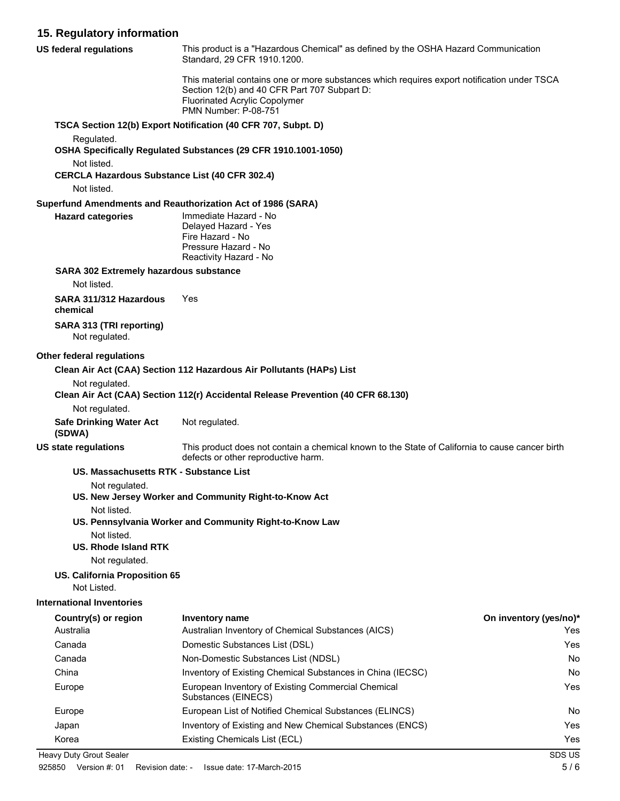# **15. Regulatory information**

| <b>US federal regulations</b>                                                       | This product is a "Hazardous Chemical" as defined by the OSHA Hazard Communication<br>Standard, 29 CFR 1910.1200.                                                                                           |                        |
|-------------------------------------------------------------------------------------|-------------------------------------------------------------------------------------------------------------------------------------------------------------------------------------------------------------|------------------------|
|                                                                                     | This material contains one or more substances which requires export notification under TSCA<br>Section 12(b) and 40 CFR Part 707 Subpart D:<br><b>Fluorinated Acrylic Copolymer</b><br>PMN Number: P-08-751 |                        |
|                                                                                     | TSCA Section 12(b) Export Notification (40 CFR 707, Subpt. D)                                                                                                                                               |                        |
| Regulated.                                                                          | OSHA Specifically Regulated Substances (29 CFR 1910.1001-1050)                                                                                                                                              |                        |
| Not listed.<br><b>CERCLA Hazardous Substance List (40 CFR 302.4)</b><br>Not listed. |                                                                                                                                                                                                             |                        |
|                                                                                     | Superfund Amendments and Reauthorization Act of 1986 (SARA)                                                                                                                                                 |                        |
| <b>Hazard categories</b>                                                            | Immediate Hazard - No<br>Delayed Hazard - Yes<br>Fire Hazard - No<br>Pressure Hazard - No<br>Reactivity Hazard - No                                                                                         |                        |
| SARA 302 Extremely hazardous substance<br>Not listed.                               |                                                                                                                                                                                                             |                        |
| SARA 311/312 Hazardous<br>chemical                                                  | Yes                                                                                                                                                                                                         |                        |
| SARA 313 (TRI reporting)<br>Not regulated.                                          |                                                                                                                                                                                                             |                        |
| Other federal regulations                                                           |                                                                                                                                                                                                             |                        |
|                                                                                     | Clean Air Act (CAA) Section 112 Hazardous Air Pollutants (HAPs) List                                                                                                                                        |                        |
| Not regulated.                                                                      | Clean Air Act (CAA) Section 112(r) Accidental Release Prevention (40 CFR 68.130)                                                                                                                            |                        |
| Not regulated.<br><b>Safe Drinking Water Act</b><br>(SDWA)                          | Not regulated.                                                                                                                                                                                              |                        |
| <b>US state regulations</b>                                                         | This product does not contain a chemical known to the State of California to cause cancer birth<br>defects or other reproductive harm.                                                                      |                        |
| US. Massachusetts RTK - Substance List                                              |                                                                                                                                                                                                             |                        |
| Not regulated.                                                                      |                                                                                                                                                                                                             |                        |
| Not listed.                                                                         | US. New Jersey Worker and Community Right-to-Know Act                                                                                                                                                       |                        |
|                                                                                     | US. Pennsylvania Worker and Community Right-to-Know Law                                                                                                                                                     |                        |
| Not listed.<br>US. Rhode Island RTK                                                 |                                                                                                                                                                                                             |                        |
| Not regulated.                                                                      |                                                                                                                                                                                                             |                        |
| US. California Proposition 65                                                       |                                                                                                                                                                                                             |                        |
| Not Listed.                                                                         |                                                                                                                                                                                                             |                        |
| <b>International Inventories</b>                                                    |                                                                                                                                                                                                             |                        |
| Country(s) or region                                                                | <b>Inventory name</b>                                                                                                                                                                                       | On inventory (yes/no)* |
| Australia                                                                           | Australian Inventory of Chemical Substances (AICS)                                                                                                                                                          | Yes                    |
| Canada                                                                              | Domestic Substances List (DSL)                                                                                                                                                                              | Yes                    |
| Canada                                                                              | Non-Domestic Substances List (NDSL)                                                                                                                                                                         | No                     |
| China                                                                               | Inventory of Existing Chemical Substances in China (IECSC)                                                                                                                                                  | No                     |
| Europe                                                                              | European Inventory of Existing Commercial Chemical<br>Substances (EINECS)                                                                                                                                   | Yes                    |
| Europe                                                                              | European List of Notified Chemical Substances (ELINCS)                                                                                                                                                      | No                     |
| Japan                                                                               | Inventory of Existing and New Chemical Substances (ENCS)                                                                                                                                                    | Yes                    |
| Korea                                                                               | Existing Chemicals List (ECL)                                                                                                                                                                               | Yes                    |
| Heavy Duty Grout Sealer                                                             |                                                                                                                                                                                                             | SDS US                 |